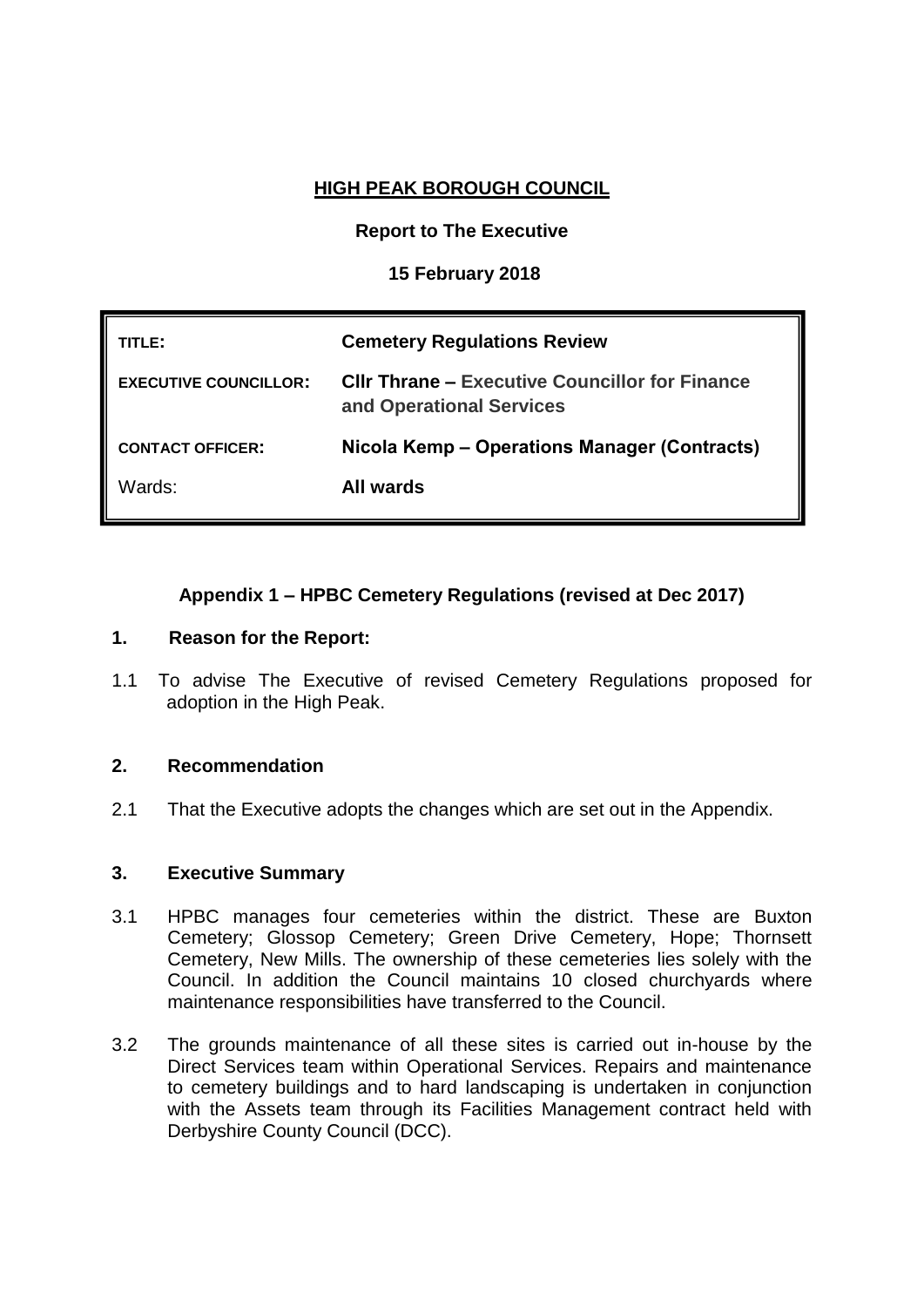# **HIGH PEAK BOROUGH COUNCIL**

## **Report to The Executive**

### **15 February 2018**

| TITLE:                       | <b>Cemetery Regulations Review</b>                                                |
|------------------------------|-----------------------------------------------------------------------------------|
| <b>EXECUTIVE COUNCILLOR:</b> | <b>CIIr Thrane – Executive Councillor for Finance</b><br>and Operational Services |
| <b>CONTACT OFFICER:</b>      | Nicola Kemp – Operations Manager (Contracts)                                      |
| Wards:                       | All wards                                                                         |

# **Appendix 1 – HPBC Cemetery Regulations (revised at Dec 2017)**

#### **1. Reason for the Report:**

**WARDS: All wards**

1.1 To advise The Executive of revised Cemetery Regulations proposed for adoption in the High Peak.

#### **2. Recommendation**

2.1 That the Executive adopts the changes which are set out in the Appendix.

#### **3. Executive Summary**

- 3.1 HPBC manages four cemeteries within the district. These are Buxton Cemetery; Glossop Cemetery; Green Drive Cemetery, Hope; Thornsett Cemetery, New Mills. The ownership of these cemeteries lies solely with the Council. In addition the Council maintains 10 closed churchyards where maintenance responsibilities have transferred to the Council.
- 3.2 The grounds maintenance of all these sites is carried out in-house by the Direct Services team within Operational Services. Repairs and maintenance to cemetery buildings and to hard landscaping is undertaken in conjunction with the Assets team through its Facilities Management contract held with Derbyshire County Council (DCC).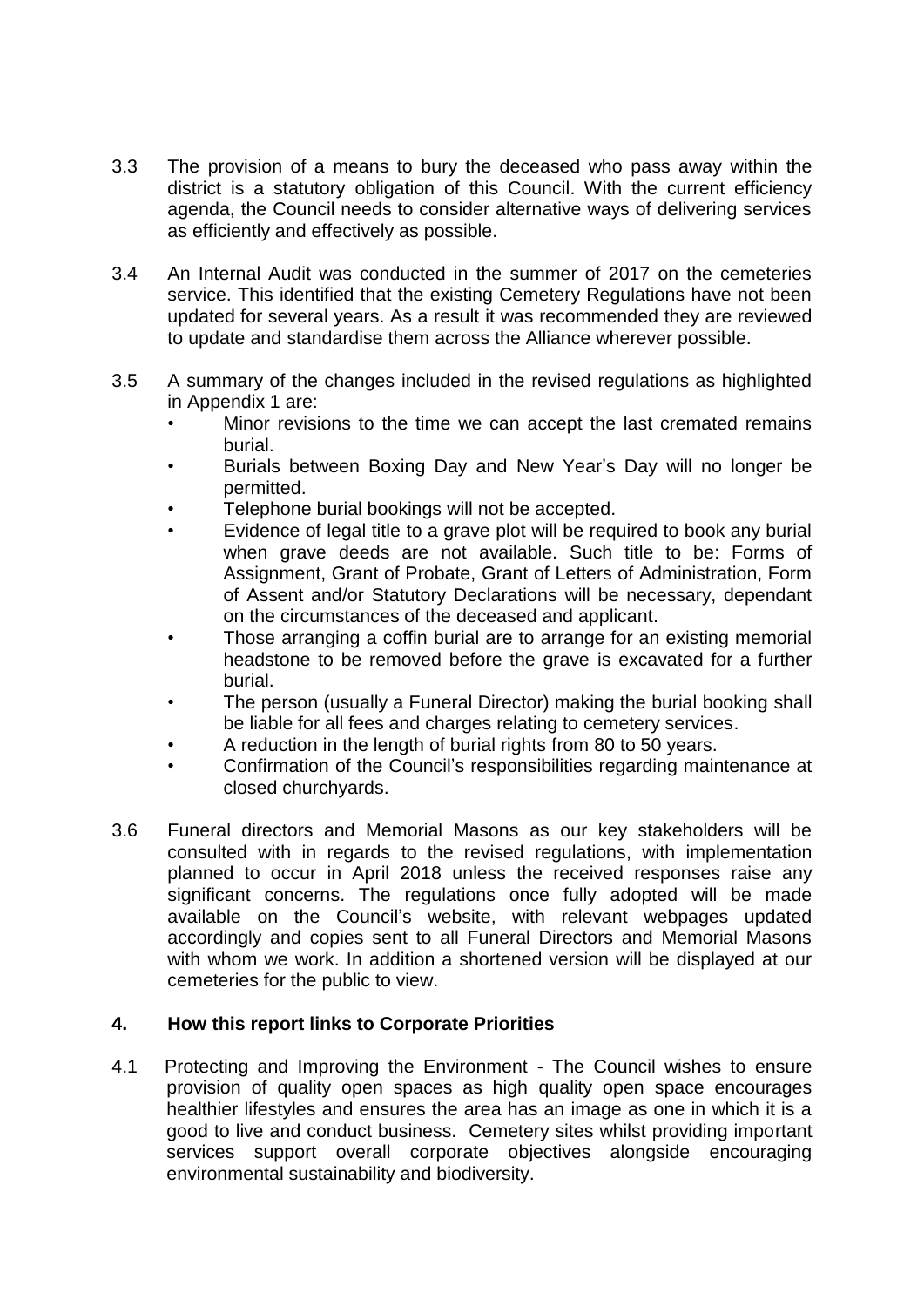- 3.3 The provision of a means to bury the deceased who pass away within the district is a statutory obligation of this Council. With the current efficiency agenda, the Council needs to consider alternative ways of delivering services as efficiently and effectively as possible.
- 3.4 An Internal Audit was conducted in the summer of 2017 on the cemeteries service. This identified that the existing Cemetery Regulations have not been updated for several years. As a result it was recommended they are reviewed to update and standardise them across the Alliance wherever possible.
- 3.5 A summary of the changes included in the revised regulations as highlighted in Appendix 1 are:
	- Minor revisions to the time we can accept the last cremated remains burial.
	- Burials between Boxing Day and New Year's Day will no longer be permitted.
	- Telephone burial bookings will not be accepted.
	- Evidence of legal title to a grave plot will be required to book any burial when grave deeds are not available. Such title to be: Forms of Assignment, Grant of Probate, Grant of Letters of Administration, Form of Assent and/or Statutory Declarations will be necessary, dependant on the circumstances of the deceased and applicant.
	- Those arranging a coffin burial are to arrange for an existing memorial headstone to be removed before the grave is excavated for a further burial.
	- The person (usually a Funeral Director) making the burial booking shall be liable for all fees and charges relating to cemetery services.
	- A reduction in the length of burial rights from 80 to 50 years.
	- Confirmation of the Council's responsibilities regarding maintenance at closed churchyards.
- 3.6 Funeral directors and Memorial Masons as our key stakeholders will be consulted with in regards to the revised regulations, with implementation planned to occur in April 2018 unless the received responses raise any significant concerns. The regulations once fully adopted will be made available on the Council's website, with relevant webpages updated accordingly and copies sent to all Funeral Directors and Memorial Masons with whom we work. In addition a shortened version will be displayed at our cemeteries for the public to view.

#### **4. How this report links to Corporate Priorities**

4.1 Protecting and Improving the Environment - The Council wishes to ensure provision of quality open spaces as high quality open space encourages healthier lifestyles and ensures the area has an image as one in which it is a good to live and conduct business. Cemetery sites whilst providing important services support overall corporate objectives alongside encouraging environmental sustainability and biodiversity.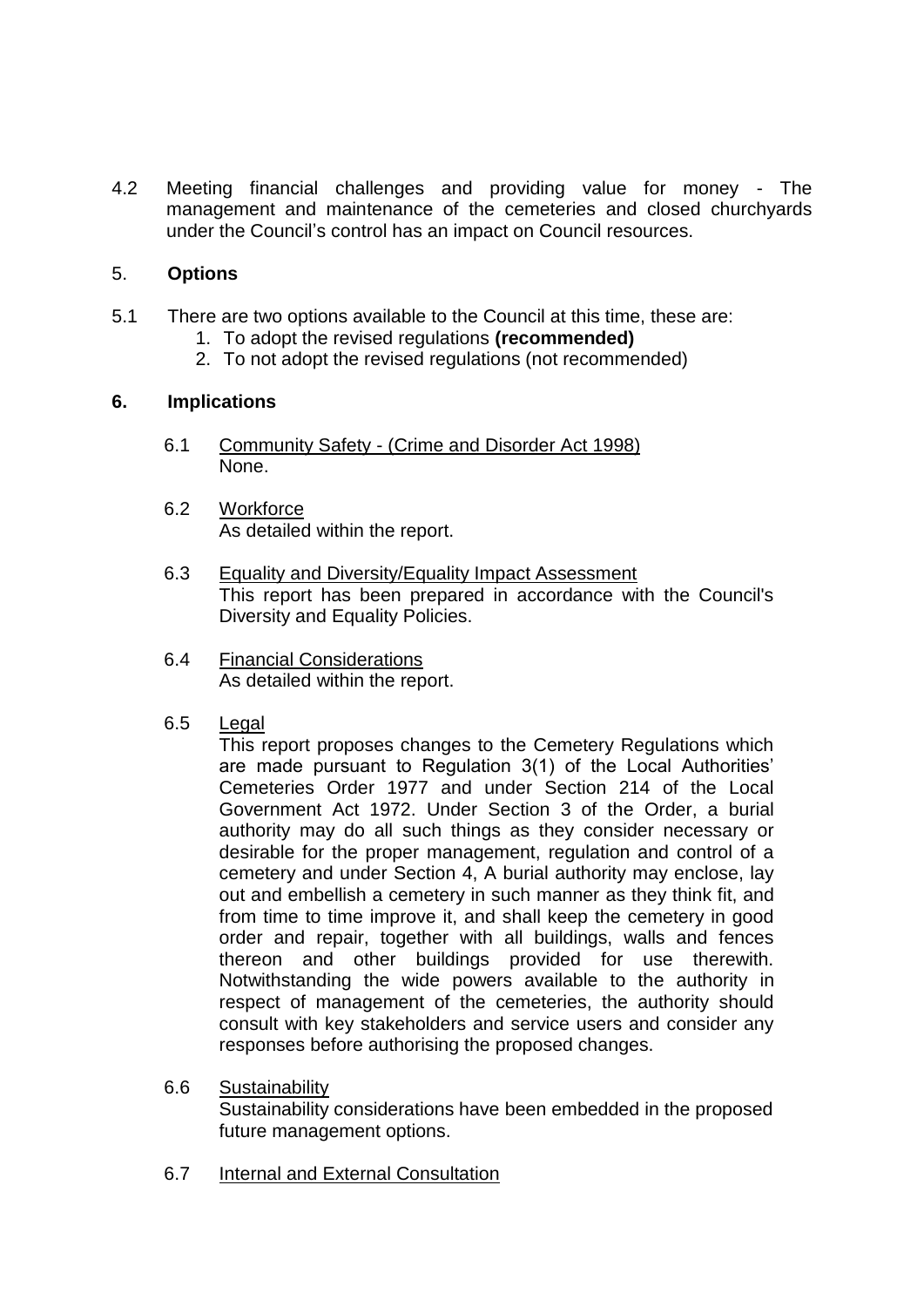4.2 Meeting financial challenges and providing value for money - The management and maintenance of the cemeteries and closed churchyards under the Council's control has an impact on Council resources.

### 5. **Options**

- 5.1 There are two options available to the Council at this time, these are:
	- 1. To adopt the revised regulations **(recommended)**
	- 2. To not adopt the revised regulations (not recommended)

#### **6. Implications**

- 6.1 Community Safety (Crime and Disorder Act 1998) None.
- 6.2 Workforce As detailed within the report.
- 6.3 Equality and Diversity/Equality Impact Assessment This report has been prepared in accordance with the Council's Diversity and Equality Policies.
- 6.4 Financial Considerations As detailed within the report.
- 6.5 Legal

This report proposes changes to the Cemetery Regulations which are made pursuant to Regulation 3(1) of the Local Authorities' Cemeteries Order 1977 and under Section 214 of the Local Government Act 1972. Under Section 3 of the Order, a burial authority may do all such things as they consider necessary or desirable for the proper management, regulation and control of a cemetery and under Section 4, A burial authority may enclose, lay out and embellish a cemetery in such manner as they think fit, and from time to time improve it, and shall keep the cemetery in good order and repair, together with all buildings, walls and fences thereon and other buildings provided for use therewith. Notwithstanding the wide powers available to the authority in respect of management of the cemeteries, the authority should consult with key stakeholders and service users and consider any responses before authorising the proposed changes.

- 6.6 Sustainability Sustainability considerations have been embedded in the proposed future management options.
- 6.7 Internal and External Consultation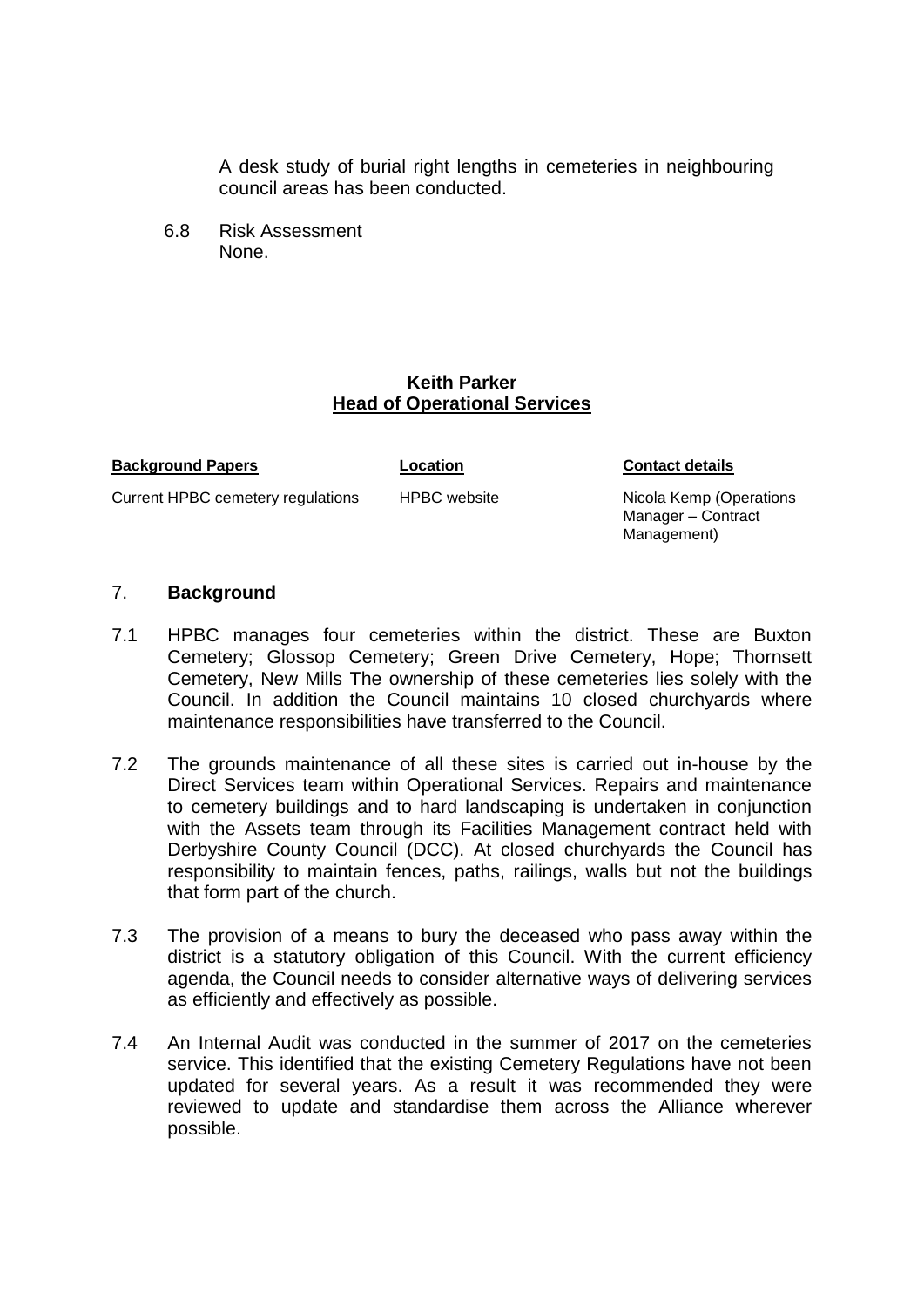A desk study of burial right lengths in cemeteries in neighbouring council areas has been conducted.

6.8 Risk Assessment None.

#### **Keith Parker Head of Operational Services**

| <b>Background Papers</b> | Location |
|--------------------------|----------|
|                          |          |

Current HPBC cemetery regulations HPBC website Nicola Kemp (Operations

**Contact details** 

Manager – Contract Management)

#### 7. **Background**

- 7.1 HPBC manages four cemeteries within the district. These are Buxton Cemetery; Glossop Cemetery; Green Drive Cemetery, Hope; Thornsett Cemetery, New Mills The ownership of these cemeteries lies solely with the Council. In addition the Council maintains 10 closed churchyards where maintenance responsibilities have transferred to the Council.
- 7.2 The grounds maintenance of all these sites is carried out in-house by the Direct Services team within Operational Services. Repairs and maintenance to cemetery buildings and to hard landscaping is undertaken in conjunction with the Assets team through its Facilities Management contract held with Derbyshire County Council (DCC). At closed churchyards the Council has responsibility to maintain fences, paths, railings, walls but not the buildings that form part of the church.
- 7.3 The provision of a means to bury the deceased who pass away within the district is a statutory obligation of this Council. With the current efficiency agenda, the Council needs to consider alternative ways of delivering services as efficiently and effectively as possible.
- 7.4 An Internal Audit was conducted in the summer of 2017 on the cemeteries service. This identified that the existing Cemetery Regulations have not been updated for several years. As a result it was recommended they were reviewed to update and standardise them across the Alliance wherever possible.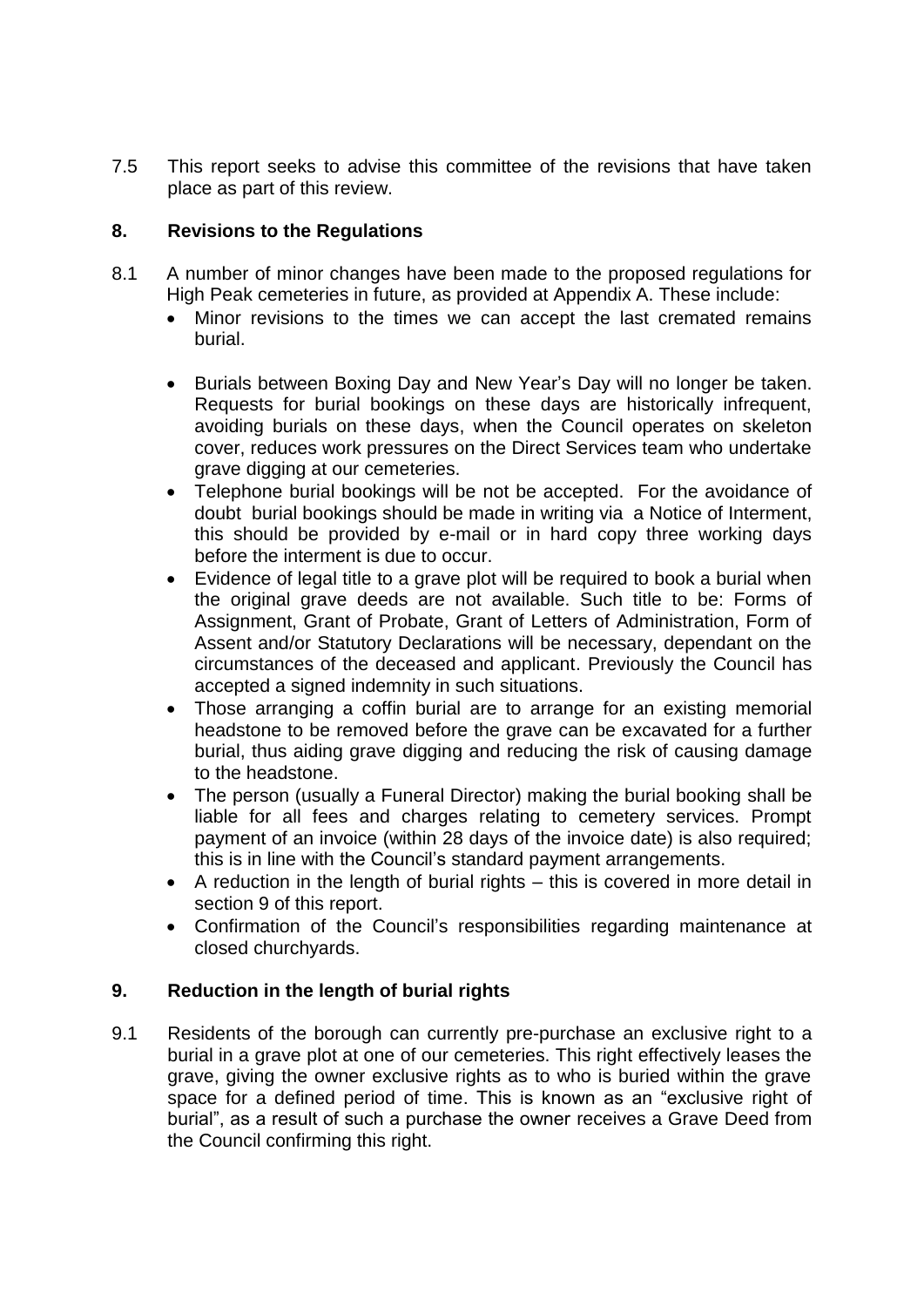7.5 This report seeks to advise this committee of the revisions that have taken place as part of this review.

## **8. Revisions to the Regulations**

- 8.1 A number of minor changes have been made to the proposed regulations for High Peak cemeteries in future, as provided at Appendix A. These include:
	- Minor revisions to the times we can accept the last cremated remains burial.
	- Burials between Boxing Day and New Year's Day will no longer be taken. Requests for burial bookings on these days are historically infrequent, avoiding burials on these days, when the Council operates on skeleton cover, reduces work pressures on the Direct Services team who undertake grave digging at our cemeteries.
	- Telephone burial bookings will be not be accepted. For the avoidance of doubt burial bookings should be made in writing via a Notice of Interment, this should be provided by e-mail or in hard copy three working days before the interment is due to occur.
	- Evidence of legal title to a grave plot will be required to book a burial when the original grave deeds are not available. Such title to be: Forms of Assignment, Grant of Probate, Grant of Letters of Administration, Form of Assent and/or Statutory Declarations will be necessary, dependant on the circumstances of the deceased and applicant. Previously the Council has accepted a signed indemnity in such situations.
	- Those arranging a coffin burial are to arrange for an existing memorial headstone to be removed before the grave can be excavated for a further burial, thus aiding grave digging and reducing the risk of causing damage to the headstone.
	- The person (usually a Funeral Director) making the burial booking shall be liable for all fees and charges relating to cemetery services. Prompt payment of an invoice (within 28 days of the invoice date) is also required; this is in line with the Council's standard payment arrangements.
	- A reduction in the length of burial rights this is covered in more detail in section 9 of this report.
	- Confirmation of the Council's responsibilities regarding maintenance at closed churchyards.

#### **9. Reduction in the length of burial rights**

9.1 Residents of the borough can currently pre-purchase an exclusive right to a burial in a grave plot at one of our cemeteries. This right effectively leases the grave, giving the owner exclusive rights as to who is buried within the grave space for a defined period of time. This is known as an "exclusive right of burial", as a result of such a purchase the owner receives a Grave Deed from the Council confirming this right.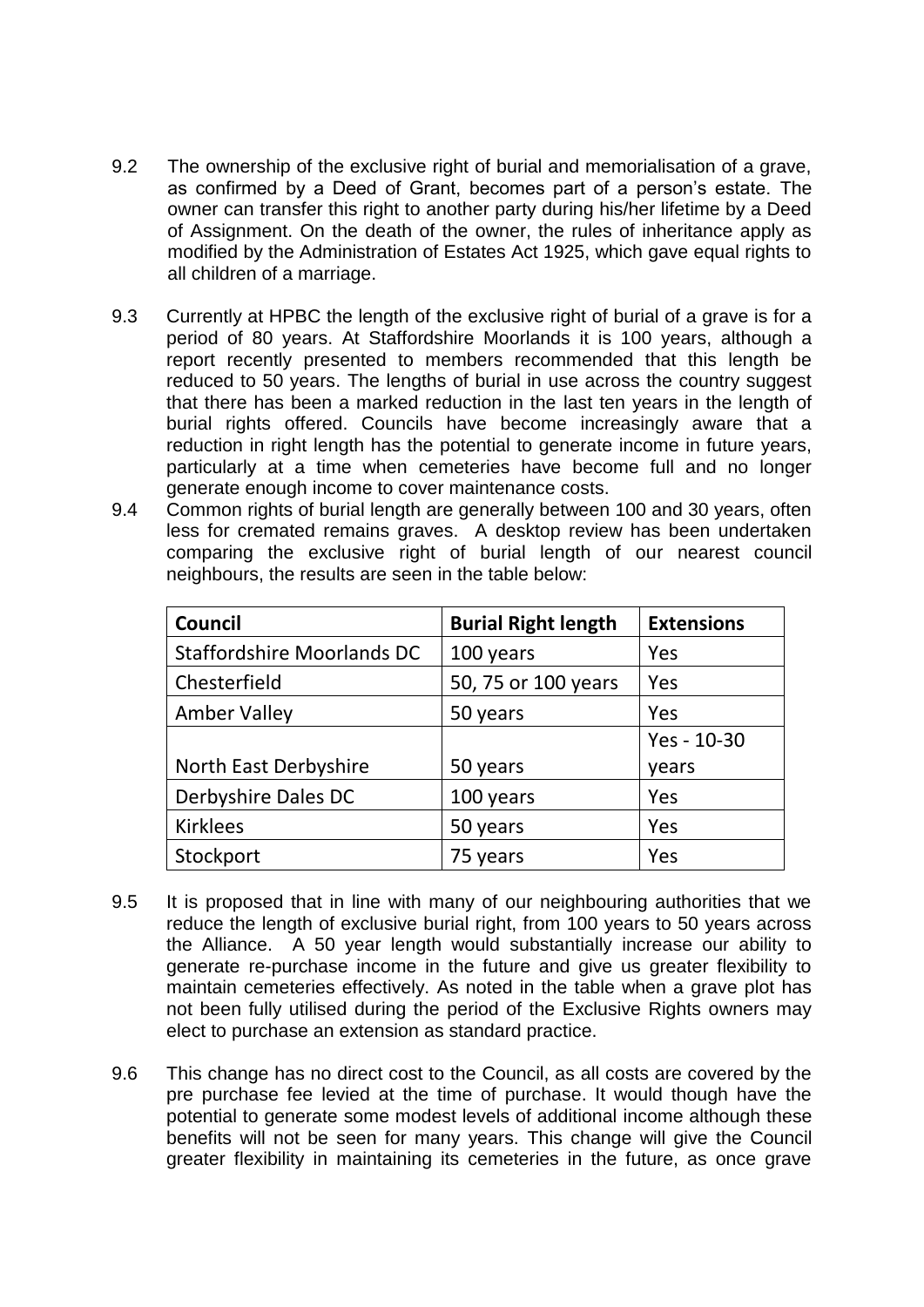- 9.2 The ownership of the exclusive right of burial and memorialisation of a grave, as confirmed by a Deed of Grant, becomes part of a person's estate. The owner can transfer this right to another party during his/her lifetime by a Deed of Assignment. On the death of the owner, the rules of inheritance apply as modified by the Administration of Estates Act 1925, which gave equal rights to all children of a marriage.
- 9.3 Currently at HPBC the length of the exclusive right of burial of a grave is for a period of 80 years. At Staffordshire Moorlands it is 100 years, although a report recently presented to members recommended that this length be reduced to 50 years. The lengths of burial in use across the country suggest that there has been a marked reduction in the last ten years in the length of burial rights offered. Councils have become increasingly aware that a reduction in right length has the potential to generate income in future years, particularly at a time when cemeteries have become full and no longer generate enough income to cover maintenance costs.
- 9.4 Common rights of burial length are generally between 100 and 30 years, often less for cremated remains graves. A desktop review has been undertaken comparing the exclusive right of burial length of our nearest council neighbours, the results are seen in the table below:

| <b>Council</b>                    | <b>Burial Right length</b> | <b>Extensions</b> |
|-----------------------------------|----------------------------|-------------------|
| <b>Staffordshire Moorlands DC</b> | 100 years                  | Yes               |
| Chesterfield                      | 50, 75 or 100 years        | Yes               |
| <b>Amber Valley</b>               | 50 years                   | Yes               |
|                                   |                            | Yes - 10-30       |
| North East Derbyshire             | 50 years                   | years             |
| Derbyshire Dales DC               | 100 years                  | Yes               |
| <b>Kirklees</b>                   | 50 years                   | Yes               |
| Stockport                         | 75 years                   | Yes               |

- 9.5 It is proposed that in line with many of our neighbouring authorities that we reduce the length of exclusive burial right, from 100 years to 50 years across the Alliance. A 50 year length would substantially increase our ability to generate re-purchase income in the future and give us greater flexibility to maintain cemeteries effectively. As noted in the table when a grave plot has not been fully utilised during the period of the Exclusive Rights owners may elect to purchase an extension as standard practice.
- 9.6 This change has no direct cost to the Council, as all costs are covered by the pre purchase fee levied at the time of purchase. It would though have the potential to generate some modest levels of additional income although these benefits will not be seen for many years. This change will give the Council greater flexibility in maintaining its cemeteries in the future, as once grave